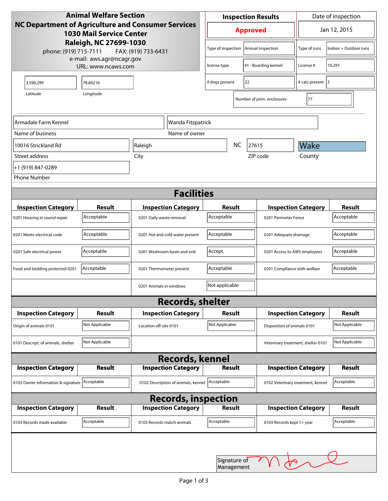| <b>Animal Welfare Section</b><br>NC Department of Agriculture and Consumer Services<br><b>1030 Mail Service Center</b><br>Raleigh, NC 27699-1030<br>phone: (919) 715-7111<br>FAX: (919) 733-6431 |                |                                     | <b>Inspection Results</b>                  |                        |                                    | Date of inspection         |                       |  |
|--------------------------------------------------------------------------------------------------------------------------------------------------------------------------------------------------|----------------|-------------------------------------|--------------------------------------------|------------------------|------------------------------------|----------------------------|-----------------------|--|
|                                                                                                                                                                                                  |                |                                     | <b>Approved</b>                            |                        |                                    | Jan 12, 2015               |                       |  |
|                                                                                                                                                                                                  |                |                                     | Type of inspection                         |                        | Annual inspection                  | Type of runs               | Indoor + Outdoor runs |  |
| e-mail: aws.agr@ncagr.gov<br>URL: www.ncaws.com                                                                                                                                                  |                |                                     | 41 - Boarding kennel<br>license type       |                        | License #                          | 10,291                     |                       |  |
| 3,590,299                                                                                                                                                                                        | 78.66216       |                                     | # dogs present                             | 22                     |                                    | # cats present 3           |                       |  |
| Latitude                                                                                                                                                                                         | Longitude      |                                     |                                            |                        | Number of prim. enclosures         | 77                         |                       |  |
| Armadale Farm Kennel<br>Wanda Fitzpatrick                                                                                                                                                        |                |                                     |                                            |                        |                                    |                            |                       |  |
| Name of business                                                                                                                                                                                 |                | Name of owner                       |                                            |                        |                                    |                            |                       |  |
| 10016 Strickland Rd                                                                                                                                                                              |                | Raleigh                             | <b>NC</b><br>27615                         |                        | Wake                               |                            |                       |  |
| Street address                                                                                                                                                                                   |                | City                                |                                            |                        | ZIP code                           | County                     |                       |  |
| +1 (919) 847-0289                                                                                                                                                                                |                |                                     |                                            |                        |                                    |                            |                       |  |
| <b>Phone Number</b>                                                                                                                                                                              |                |                                     |                                            |                        |                                    |                            |                       |  |
| <b>Facilities</b>                                                                                                                                                                                |                |                                     |                                            |                        |                                    |                            |                       |  |
| <b>Inspection Category</b>                                                                                                                                                                       | Result         | <b>Inspection Category</b>          | Result                                     |                        |                                    | <b>Inspection Category</b> | <b>Result</b>         |  |
| 0201 Housing in sound repair                                                                                                                                                                     | Acceptable     | 0201 Daily waste removal            | Acceptable                                 |                        | 0201 Perimeter Fence               |                            | Acceptable            |  |
| 0201 Meets electrical code                                                                                                                                                                       | Acceptable     | 0201 Hot and cold water present     | Acceptable                                 | 0201 Adequate drainage |                                    |                            | Acceptable            |  |
| 0201 Safe electrical power                                                                                                                                                                       | Acceptable     | 0201 Washroom basin and sink        | Accept.<br>0201 Access to AWS employees    |                        |                                    | Acceptable                 |                       |  |
| Food and bedding protected 0201                                                                                                                                                                  | Acceptable     | 0201 Thermometer present            | Acceptable<br>0201 Compliance with welfare |                        |                                    | Acceptable                 |                       |  |
|                                                                                                                                                                                                  |                | 0201 Animals in windows             | Not applicable                             |                        |                                    |                            |                       |  |
| <b>Records, shelter</b>                                                                                                                                                                          |                |                                     |                                            |                        |                                    |                            |                       |  |
| <b>Inspection Category</b>                                                                                                                                                                       | Result         | <b>Inspection Category</b>          | Result                                     |                        |                                    | <b>Inspection Category</b> | <b>Result</b>         |  |
| Origin of animals 0101                                                                                                                                                                           | Not Applicable | Location off-site 0101              | Not Applicable                             |                        | Disposition of animals 0101        |                            | Not Applicable        |  |
| 0101 Descript. of animals, shelter                                                                                                                                                               | Not Applicable |                                     |                                            |                        | Veterinary treatment, shelter 0101 |                            | Not Applicable        |  |
| <b>Records, kennel</b>                                                                                                                                                                           |                |                                     |                                            |                        |                                    |                            |                       |  |
| <b>Inspection Category</b>                                                                                                                                                                       | Result         | <b>Inspection Category</b>          | Result                                     |                        |                                    | <b>Inspection Category</b> | <b>Result</b>         |  |
| 0102 Owner information & signature Acceptable                                                                                                                                                    |                | 0102 Description of animals, kennel | Acceptable                                 |                        | 0102 Veterinary treatment, kennel  |                            | Acceptable            |  |
| <b>Records, inspection</b>                                                                                                                                                                       |                |                                     |                                            |                        |                                    |                            |                       |  |
| <b>Inspection Category</b>                                                                                                                                                                       | Result         | <b>Inspection Category</b>          | <b>Result</b>                              |                        |                                    | <b>Inspection Category</b> | <b>Result</b>         |  |
| 0103 Records made available                                                                                                                                                                      | Acceptable     | 0103 Records match animals          | Acceptable                                 |                        | 0103 Records kept 1+ year          |                            | Acceptable            |  |
|                                                                                                                                                                                                  |                |                                     | Signature of                               |                        |                                    |                            |                       |  |
| Management                                                                                                                                                                                       |                |                                     |                                            |                        |                                    |                            |                       |  |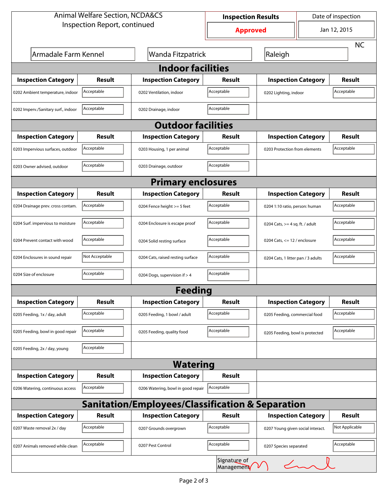| <b>Animal Welfare Section, NCDA&amp;CS</b> |                |                                                             | <b>Inspection Results</b> |                                    | Date of inspection |                |  |  |
|--------------------------------------------|----------------|-------------------------------------------------------------|---------------------------|------------------------------------|--------------------|----------------|--|--|
| Inspection Report, continued               |                |                                                             | <b>Approved</b>           |                                    | Jan 12, 2015       |                |  |  |
|                                            |                |                                                             |                           |                                    |                    | <b>NC</b>      |  |  |
| Armadale Farm Kennel                       |                | Wanda Fitzpatrick                                           |                           | Raleigh                            |                    |                |  |  |
| <b>Indoor facilities</b>                   |                |                                                             |                           |                                    |                    |                |  |  |
| <b>Inspection Category</b>                 | Result         | <b>Inspection Category</b>                                  | Result                    | <b>Inspection Category</b>         |                    | Result         |  |  |
| 0202 Ambient temperature, indoor           | Acceptable     | 0202 Ventilation, indoor                                    | Acceptable                | 0202 Lighting, indoor              |                    | Acceptable     |  |  |
| 0202 Imperv./Sanitary surf., indoor        | Acceptable     | 0202 Drainage, indoor                                       | Acceptable                |                                    |                    |                |  |  |
| <b>Outdoor facilities</b>                  |                |                                                             |                           |                                    |                    |                |  |  |
| <b>Inspection Category</b>                 | Result         | <b>Inspection Category</b>                                  | Result                    | <b>Inspection Category</b>         |                    | <b>Result</b>  |  |  |
| 0203 Impervious surfaces, outdoor          | Acceptable     | 0203 Housing, 1 per animal                                  | Acceptable                | 0203 Protection from elements      |                    | Acceptable     |  |  |
| 0203 Owner advised, outdoor                | Acceptable     | 0203 Drainage, outdoor                                      | Acceptable                |                                    |                    |                |  |  |
| <b>Primary enclosures</b>                  |                |                                                             |                           |                                    |                    |                |  |  |
| <b>Inspection Category</b>                 | Result         | <b>Inspection Category</b>                                  | Result                    | <b>Inspection Category</b>         |                    | <b>Result</b>  |  |  |
| 0204 Drainage prev. cross contam.          | Acceptable     | 0204 Fence height >= 5 feet                                 | Acceptable                | 0204 1:10 ratio, person: human     |                    | Acceptable     |  |  |
| 0204 Surf. impervious to moisture          | Acceptable     | 0204 Enclosure is escape proof                              | Acceptable                | 0204 Cats, $>=$ 4 sq. ft. / adult  |                    | Acceptable     |  |  |
| 0204 Prevent contact with wood             | Acceptable     | 0204 Solid resting surface                                  | Acceptable                | 0204 Cats, $<= 12$ / enclosure     |                    | Acceptable     |  |  |
| 0204 Enclosures in sound repair            | Not Acceptable | 0204 Cats, raised resting surface                           | Acceptable                | 0204 Cats, 1 litter pan / 3 adults |                    | Acceptable     |  |  |
| 0204 Size of enclosure                     | Acceptable     | 0204 Dogs, supervision if > 4                               | Acceptable                |                                    |                    |                |  |  |
|                                            |                | <b>Feeding</b>                                              |                           |                                    |                    |                |  |  |
| <b>Inspection Category</b>                 | <b>Result</b>  | <b>Inspection Category</b>                                  | <b>Result</b>             | <b>Inspection Category</b>         |                    | <b>Result</b>  |  |  |
| 0205 Feeding, 1x / day, adult              | Acceptable     | 0205 Feeding, 1 bowl / adult                                | Acceptable                | 0205 Feeding, commercial food      |                    | Acceptable     |  |  |
| 0205 Feeding, bowl in good repair          | Acceptable     | 0205 Feeding, quality food                                  | Acceptable                | 0205 Feeding, bowl is protected    |                    | Acceptable     |  |  |
| 0205 Feeding, 2x / day, young              | Acceptable     |                                                             |                           |                                    |                    |                |  |  |
|                                            |                | <b>Watering</b>                                             |                           |                                    |                    |                |  |  |
| <b>Inspection Category</b>                 | <b>Result</b>  | <b>Inspection Category</b>                                  | <b>Result</b>             |                                    |                    |                |  |  |
| 0206 Watering, continuous access           | Acceptable     | 0206 Watering, bowl in good repair                          | Acceptable                |                                    |                    |                |  |  |
|                                            |                | <b>Sanitation/Employees/Classification &amp; Separation</b> |                           |                                    |                    |                |  |  |
| <b>Inspection Category</b>                 | <b>Result</b>  | <b>Inspection Category</b>                                  | <b>Result</b>             | <b>Inspection Category</b>         |                    | <b>Result</b>  |  |  |
| 0207 Waste removal 2x / day                | Acceptable     | 0207 Grounds overgrown                                      | Acceptable                | 0207 Young given social interact.  |                    | Not Applicable |  |  |
| 0207 Animals removed while clean           | Acceptable     | 0207 Pest Control                                           | Acceptable                | 0207 Species separated             |                    | Acceptable     |  |  |
|                                            |                |                                                             | Signature of<br>Managemen |                                    | $\angle$           |                |  |  |